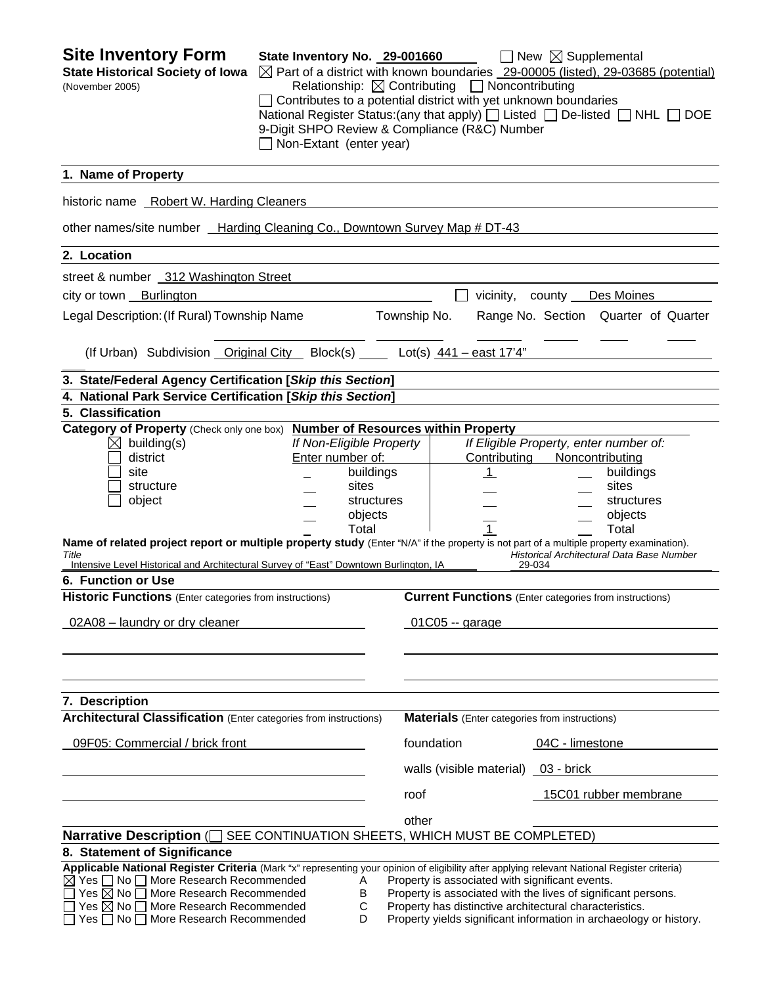| 1. Name of Property<br>historic name Robert W. Harding Cleaners<br>other names/site number _Harding Cleaning Co., Downtown Survey Map # DT-43<br>2. Location<br>street & number 312 Washington Street<br>city or town Burlington<br>Legal Description: (If Rural) Township Name<br>Township No.<br>(If Urban) Subdivision Original City Block(s) Lot(s) 441 - east 17'4"<br>3. State/Federal Agency Certification [Skip this Section]<br>4. National Park Service Certification [Skip this Section]<br>5. Classification<br>Category of Property (Check only one box) Number of Resources within Property<br>If Non-Eligible Property<br>$\bowtie$<br>building(s)<br>Enter number of:<br>Contributing<br>district<br>buildings<br>site<br>$\mathbf{1}$<br>sites<br>structure<br>object<br>structures<br>objects<br>Total<br>$\mathbf 1$<br>Name of related project report or multiple property study (Enter "N/A" if the property is not part of a multiple property examination).<br>Title<br>Intensive Level Historical and Architectural Survey of "East" Downtown Burlington, IA<br><b>6. Function or Use</b><br><b>Historic Functions</b> (Enter categories from instructions)<br>02A08 - laundry or dry cleaner<br>$01C05 -$ garage<br>7. Description<br><b>Architectural Classification</b> (Enter categories from instructions)<br><b>Materials</b> (Enter categories from instructions)<br>09F05: Commercial / brick front<br>foundation<br>walls (visible material) 03 - brick<br>roof | $\Box$ New $\boxtimes$ Supplemental<br>$\boxtimes$ Part of a district with known boundaries _29-00005 (listed), 29-03685 (potential)<br>Relationship: $\boxtimes$ Contributing $\Box$ Noncontributing<br>$\Box$ Contributes to a potential district with yet unknown boundaries<br>National Register Status: (any that apply) [ Listed [ De-listed   NHL   DOE<br>9-Digit SHPO Review & Compliance (R&C) Number |
|--------------------------------------------------------------------------------------------------------------------------------------------------------------------------------------------------------------------------------------------------------------------------------------------------------------------------------------------------------------------------------------------------------------------------------------------------------------------------------------------------------------------------------------------------------------------------------------------------------------------------------------------------------------------------------------------------------------------------------------------------------------------------------------------------------------------------------------------------------------------------------------------------------------------------------------------------------------------------------------------------------------------------------------------------------------------------------------------------------------------------------------------------------------------------------------------------------------------------------------------------------------------------------------------------------------------------------------------------------------------------------------------------------------------------------------------------------------------------------------------------|-----------------------------------------------------------------------------------------------------------------------------------------------------------------------------------------------------------------------------------------------------------------------------------------------------------------------------------------------------------------------------------------------------------------|
|                                                                                                                                                                                                                                                                                                                                                                                                                                                                                                                                                                                                                                                                                                                                                                                                                                                                                                                                                                                                                                                                                                                                                                                                                                                                                                                                                                                                                                                                                                  |                                                                                                                                                                                                                                                                                                                                                                                                                 |
|                                                                                                                                                                                                                                                                                                                                                                                                                                                                                                                                                                                                                                                                                                                                                                                                                                                                                                                                                                                                                                                                                                                                                                                                                                                                                                                                                                                                                                                                                                  |                                                                                                                                                                                                                                                                                                                                                                                                                 |
|                                                                                                                                                                                                                                                                                                                                                                                                                                                                                                                                                                                                                                                                                                                                                                                                                                                                                                                                                                                                                                                                                                                                                                                                                                                                                                                                                                                                                                                                                                  |                                                                                                                                                                                                                                                                                                                                                                                                                 |
|                                                                                                                                                                                                                                                                                                                                                                                                                                                                                                                                                                                                                                                                                                                                                                                                                                                                                                                                                                                                                                                                                                                                                                                                                                                                                                                                                                                                                                                                                                  |                                                                                                                                                                                                                                                                                                                                                                                                                 |
|                                                                                                                                                                                                                                                                                                                                                                                                                                                                                                                                                                                                                                                                                                                                                                                                                                                                                                                                                                                                                                                                                                                                                                                                                                                                                                                                                                                                                                                                                                  |                                                                                                                                                                                                                                                                                                                                                                                                                 |
|                                                                                                                                                                                                                                                                                                                                                                                                                                                                                                                                                                                                                                                                                                                                                                                                                                                                                                                                                                                                                                                                                                                                                                                                                                                                                                                                                                                                                                                                                                  | vicinity, county Des Moines                                                                                                                                                                                                                                                                                                                                                                                     |
|                                                                                                                                                                                                                                                                                                                                                                                                                                                                                                                                                                                                                                                                                                                                                                                                                                                                                                                                                                                                                                                                                                                                                                                                                                                                                                                                                                                                                                                                                                  | Range No. Section Quarter of Quarter                                                                                                                                                                                                                                                                                                                                                                            |
|                                                                                                                                                                                                                                                                                                                                                                                                                                                                                                                                                                                                                                                                                                                                                                                                                                                                                                                                                                                                                                                                                                                                                                                                                                                                                                                                                                                                                                                                                                  |                                                                                                                                                                                                                                                                                                                                                                                                                 |
|                                                                                                                                                                                                                                                                                                                                                                                                                                                                                                                                                                                                                                                                                                                                                                                                                                                                                                                                                                                                                                                                                                                                                                                                                                                                                                                                                                                                                                                                                                  |                                                                                                                                                                                                                                                                                                                                                                                                                 |
|                                                                                                                                                                                                                                                                                                                                                                                                                                                                                                                                                                                                                                                                                                                                                                                                                                                                                                                                                                                                                                                                                                                                                                                                                                                                                                                                                                                                                                                                                                  |                                                                                                                                                                                                                                                                                                                                                                                                                 |
|                                                                                                                                                                                                                                                                                                                                                                                                                                                                                                                                                                                                                                                                                                                                                                                                                                                                                                                                                                                                                                                                                                                                                                                                                                                                                                                                                                                                                                                                                                  |                                                                                                                                                                                                                                                                                                                                                                                                                 |
|                                                                                                                                                                                                                                                                                                                                                                                                                                                                                                                                                                                                                                                                                                                                                                                                                                                                                                                                                                                                                                                                                                                                                                                                                                                                                                                                                                                                                                                                                                  | If Eligible Property, enter number of:<br>Noncontributing<br>buildings<br>sites<br>structures<br>objects<br>Total<br>Historical Architectural Data Base Number<br>29-034<br><b>Current Functions</b> (Enter categories from instructions)                                                                                                                                                                       |
|                                                                                                                                                                                                                                                                                                                                                                                                                                                                                                                                                                                                                                                                                                                                                                                                                                                                                                                                                                                                                                                                                                                                                                                                                                                                                                                                                                                                                                                                                                  | 04C - limestone                                                                                                                                                                                                                                                                                                                                                                                                 |
|                                                                                                                                                                                                                                                                                                                                                                                                                                                                                                                                                                                                                                                                                                                                                                                                                                                                                                                                                                                                                                                                                                                                                                                                                                                                                                                                                                                                                                                                                                  | 15C01 rubber membrane                                                                                                                                                                                                                                                                                                                                                                                           |
| other<br>SEE CONTINUATION SHEETS, WHICH MUST BE COMPLETED)<br>Narrative Description $\Box$<br>8. Statement of Significance<br>Applicable National Register Criteria (Mark "x" representing your opinion of eligibility after applying relevant National Register criteria)<br>$\boxtimes$ Yes $\Box$ No $\Box$ More Research Recommended<br>Property is associated with significant events.<br>A<br>Yes $\boxtimes$ No $\Box$<br>More Research Recommended<br>В<br>C<br>Yes $\boxtimes$ No $\Box$ More Research Recommended<br>Property has distinctive architectural characteristics.<br>$\Box$ No $\Box$ More Research Recommended<br>D<br>Yes I                                                                                                                                                                                                                                                                                                                                                                                                                                                                                                                                                                                                                                                                                                                                                                                                                                               | Property is associated with the lives of significant persons.<br>Property yields significant information in archaeology or history.                                                                                                                                                                                                                                                                             |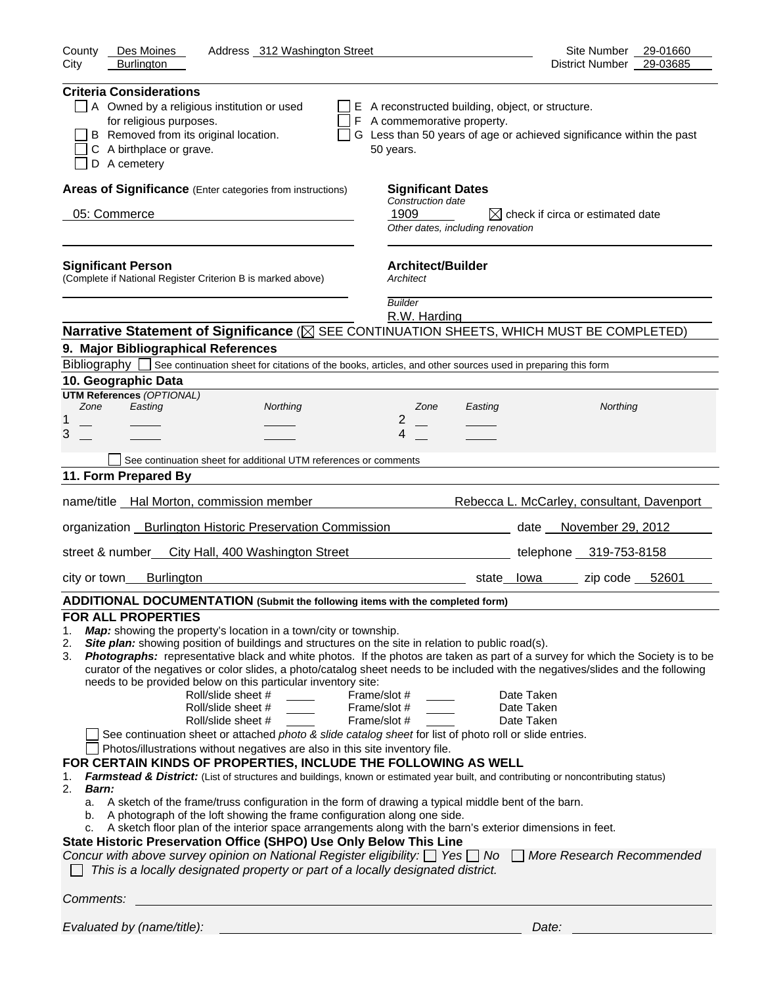| County<br>Des Moines<br>Address 312 Washington Street                                                                                                                                                                                                                                                                                                                                                                                                                                                                                                                                                                                                                                                                                                                                                                                                                                                                                                                                                                                                                                                                                                                                                                                                                                                                                                                                                                                                                                                                                                                                                                                                                                            | Site Number<br>29-01660                                              |
|--------------------------------------------------------------------------------------------------------------------------------------------------------------------------------------------------------------------------------------------------------------------------------------------------------------------------------------------------------------------------------------------------------------------------------------------------------------------------------------------------------------------------------------------------------------------------------------------------------------------------------------------------------------------------------------------------------------------------------------------------------------------------------------------------------------------------------------------------------------------------------------------------------------------------------------------------------------------------------------------------------------------------------------------------------------------------------------------------------------------------------------------------------------------------------------------------------------------------------------------------------------------------------------------------------------------------------------------------------------------------------------------------------------------------------------------------------------------------------------------------------------------------------------------------------------------------------------------------------------------------------------------------------------------------------------------------|----------------------------------------------------------------------|
| <b>Burlington</b><br>City                                                                                                                                                                                                                                                                                                                                                                                                                                                                                                                                                                                                                                                                                                                                                                                                                                                                                                                                                                                                                                                                                                                                                                                                                                                                                                                                                                                                                                                                                                                                                                                                                                                                        | 29-03685<br>District Number                                          |
| <b>Criteria Considerations</b><br>A Owned by a religious institution or used<br>E A reconstructed building, object, or structure.<br>for religious purposes.<br>F A commemorative property.<br>B Removed from its original location.<br>C A birthplace or grave.<br>50 years.<br>D A cemetery                                                                                                                                                                                                                                                                                                                                                                                                                                                                                                                                                                                                                                                                                                                                                                                                                                                                                                                                                                                                                                                                                                                                                                                                                                                                                                                                                                                                    | G Less than 50 years of age or achieved significance within the past |
| Areas of Significance (Enter categories from instructions)<br><b>Significant Dates</b>                                                                                                                                                                                                                                                                                                                                                                                                                                                                                                                                                                                                                                                                                                                                                                                                                                                                                                                                                                                                                                                                                                                                                                                                                                                                                                                                                                                                                                                                                                                                                                                                           |                                                                      |
| Construction date                                                                                                                                                                                                                                                                                                                                                                                                                                                                                                                                                                                                                                                                                                                                                                                                                                                                                                                                                                                                                                                                                                                                                                                                                                                                                                                                                                                                                                                                                                                                                                                                                                                                                |                                                                      |
| 1909<br>05: Commerce<br>Other dates, including renovation                                                                                                                                                                                                                                                                                                                                                                                                                                                                                                                                                                                                                                                                                                                                                                                                                                                                                                                                                                                                                                                                                                                                                                                                                                                                                                                                                                                                                                                                                                                                                                                                                                        | $\boxtimes$ check if circa or estimated date                         |
| <b>Significant Person</b><br><b>Architect/Builder</b><br>(Complete if National Register Criterion B is marked above)<br>Architect                                                                                                                                                                                                                                                                                                                                                                                                                                                                                                                                                                                                                                                                                                                                                                                                                                                                                                                                                                                                                                                                                                                                                                                                                                                                                                                                                                                                                                                                                                                                                                |                                                                      |
| <b>Builder</b><br>R.W. Harding                                                                                                                                                                                                                                                                                                                                                                                                                                                                                                                                                                                                                                                                                                                                                                                                                                                                                                                                                                                                                                                                                                                                                                                                                                                                                                                                                                                                                                                                                                                                                                                                                                                                   |                                                                      |
| Narrative Statement of Significance ( $\boxtimes$ SEE CONTINUATION SHEETS, WHICH MUST BE COMPLETED)                                                                                                                                                                                                                                                                                                                                                                                                                                                                                                                                                                                                                                                                                                                                                                                                                                                                                                                                                                                                                                                                                                                                                                                                                                                                                                                                                                                                                                                                                                                                                                                              |                                                                      |
| 9. Major Bibliographical References                                                                                                                                                                                                                                                                                                                                                                                                                                                                                                                                                                                                                                                                                                                                                                                                                                                                                                                                                                                                                                                                                                                                                                                                                                                                                                                                                                                                                                                                                                                                                                                                                                                              |                                                                      |
| Bibliography See continuation sheet for citations of the books, articles, and other sources used in preparing this form                                                                                                                                                                                                                                                                                                                                                                                                                                                                                                                                                                                                                                                                                                                                                                                                                                                                                                                                                                                                                                                                                                                                                                                                                                                                                                                                                                                                                                                                                                                                                                          |                                                                      |
| 10. Geographic Data                                                                                                                                                                                                                                                                                                                                                                                                                                                                                                                                                                                                                                                                                                                                                                                                                                                                                                                                                                                                                                                                                                                                                                                                                                                                                                                                                                                                                                                                                                                                                                                                                                                                              |                                                                      |
| <b>UTM References (OPTIONAL)</b>                                                                                                                                                                                                                                                                                                                                                                                                                                                                                                                                                                                                                                                                                                                                                                                                                                                                                                                                                                                                                                                                                                                                                                                                                                                                                                                                                                                                                                                                                                                                                                                                                                                                 |                                                                      |
| Zone<br>Easting<br>Northing<br>Zone<br>Easting                                                                                                                                                                                                                                                                                                                                                                                                                                                                                                                                                                                                                                                                                                                                                                                                                                                                                                                                                                                                                                                                                                                                                                                                                                                                                                                                                                                                                                                                                                                                                                                                                                                   | Northing                                                             |
| 2<br>1<br>3<br>4                                                                                                                                                                                                                                                                                                                                                                                                                                                                                                                                                                                                                                                                                                                                                                                                                                                                                                                                                                                                                                                                                                                                                                                                                                                                                                                                                                                                                                                                                                                                                                                                                                                                                 |                                                                      |
|                                                                                                                                                                                                                                                                                                                                                                                                                                                                                                                                                                                                                                                                                                                                                                                                                                                                                                                                                                                                                                                                                                                                                                                                                                                                                                                                                                                                                                                                                                                                                                                                                                                                                                  |                                                                      |
| See continuation sheet for additional UTM references or comments                                                                                                                                                                                                                                                                                                                                                                                                                                                                                                                                                                                                                                                                                                                                                                                                                                                                                                                                                                                                                                                                                                                                                                                                                                                                                                                                                                                                                                                                                                                                                                                                                                 |                                                                      |
| 11. Form Prepared By                                                                                                                                                                                                                                                                                                                                                                                                                                                                                                                                                                                                                                                                                                                                                                                                                                                                                                                                                                                                                                                                                                                                                                                                                                                                                                                                                                                                                                                                                                                                                                                                                                                                             |                                                                      |
| name/title Hal Morton, commission member                                                                                                                                                                                                                                                                                                                                                                                                                                                                                                                                                                                                                                                                                                                                                                                                                                                                                                                                                                                                                                                                                                                                                                                                                                                                                                                                                                                                                                                                                                                                                                                                                                                         | Rebecca L. McCarley, consultant, Davenport                           |
| organization _ Burlington Historic Preservation Commission                                                                                                                                                                                                                                                                                                                                                                                                                                                                                                                                                                                                                                                                                                                                                                                                                                                                                                                                                                                                                                                                                                                                                                                                                                                                                                                                                                                                                                                                                                                                                                                                                                       | date November 29, 2012                                               |
| street & number City Hall, 400 Washington Street                                                                                                                                                                                                                                                                                                                                                                                                                                                                                                                                                                                                                                                                                                                                                                                                                                                                                                                                                                                                                                                                                                                                                                                                                                                                                                                                                                                                                                                                                                                                                                                                                                                 | telephone 319-753-8158                                               |
| city or town___<br><b>Burlington</b><br><u> 1980 - Johann Barbara, martin amerikan basal da</u>                                                                                                                                                                                                                                                                                                                                                                                                                                                                                                                                                                                                                                                                                                                                                                                                                                                                                                                                                                                                                                                                                                                                                                                                                                                                                                                                                                                                                                                                                                                                                                                                  | zip code $52601$<br>state__lowa_____                                 |
| ADDITIONAL DOCUMENTATION (Submit the following items with the completed form)                                                                                                                                                                                                                                                                                                                                                                                                                                                                                                                                                                                                                                                                                                                                                                                                                                                                                                                                                                                                                                                                                                                                                                                                                                                                                                                                                                                                                                                                                                                                                                                                                    |                                                                      |
| <b>FOR ALL PROPERTIES</b><br>Map: showing the property's location in a town/city or township.<br>1.<br>Site plan: showing position of buildings and structures on the site in relation to public road(s).<br>2.<br>Photographs: representative black and white photos. If the photos are taken as part of a survey for which the Society is to be<br>3.<br>curator of the negatives or color slides, a photo/catalog sheet needs to be included with the negatives/slides and the following<br>needs to be provided below on this particular inventory site:<br>Roll/slide sheet #<br>Frame/slot #<br>Roll/slide sheet #<br>Frame/slot #<br>Roll/slide sheet #<br>Frame/slot #<br>See continuation sheet or attached photo & slide catalog sheet for list of photo roll or slide entries.<br>Photos/illustrations without negatives are also in this site inventory file.<br>FOR CERTAIN KINDS OF PROPERTIES, INCLUDE THE FOLLOWING AS WELL<br>Farmstead & District: (List of structures and buildings, known or estimated year built, and contributing or noncontributing status)<br>1.<br>2.<br><b>Barn:</b><br>A sketch of the frame/truss configuration in the form of drawing a typical middle bent of the barn.<br>a.<br>b. A photograph of the loft showing the frame configuration along one side.<br>c. A sketch floor plan of the interior space arrangements along with the barn's exterior dimensions in feet.<br>State Historic Preservation Office (SHPO) Use Only Below This Line<br>Concur with above survey opinion on National Register eligibility: □ Yes □ No □ More Research Recommended<br>This is a locally designated property or part of a locally designated district. | Date Taken<br>Date Taken<br>Date Taken                               |
| Comments:                                                                                                                                                                                                                                                                                                                                                                                                                                                                                                                                                                                                                                                                                                                                                                                                                                                                                                                                                                                                                                                                                                                                                                                                                                                                                                                                                                                                                                                                                                                                                                                                                                                                                        |                                                                      |
| Evaluated by (name/title):                                                                                                                                                                                                                                                                                                                                                                                                                                                                                                                                                                                                                                                                                                                                                                                                                                                                                                                                                                                                                                                                                                                                                                                                                                                                                                                                                                                                                                                                                                                                                                                                                                                                       | Date:                                                                |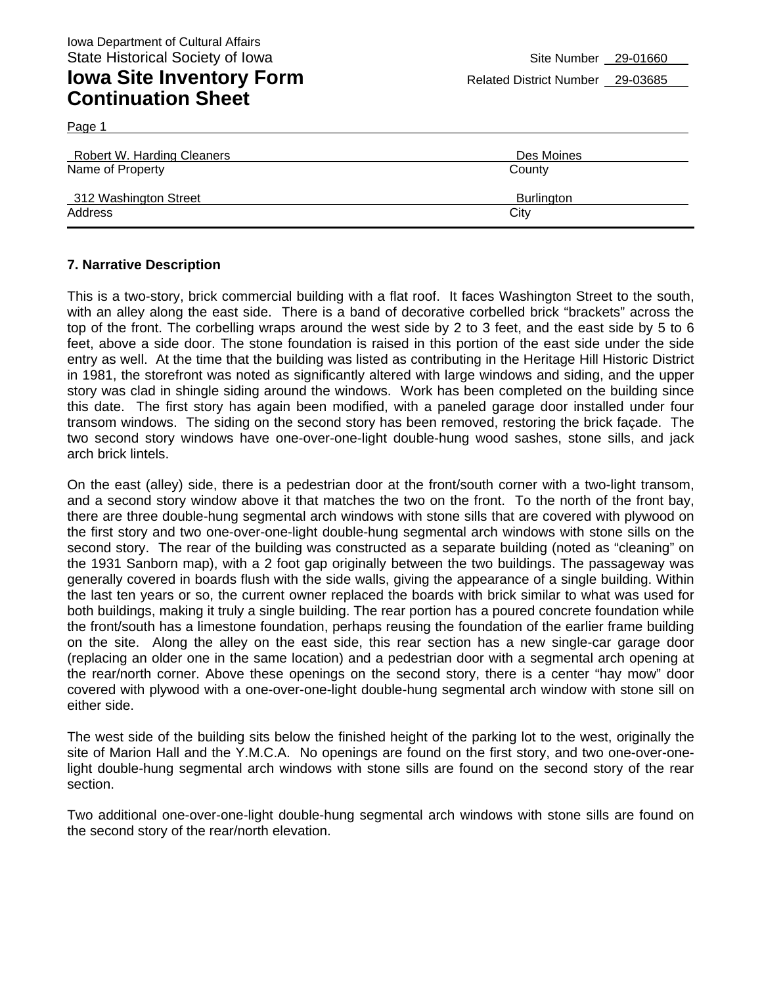| Robert W. Harding Cleaners | Des Moines |
|----------------------------|------------|
| Name of Property           | County     |
| 312 Washington Street      | Burlington |
| Address                    | City       |

#### **7. Narrative Description**

Page 1

This is a two-story, brick commercial building with a flat roof. It faces Washington Street to the south, with an alley along the east side. There is a band of decorative corbelled brick "brackets" across the top of the front. The corbelling wraps around the west side by 2 to 3 feet, and the east side by 5 to 6 feet, above a side door. The stone foundation is raised in this portion of the east side under the side entry as well. At the time that the building was listed as contributing in the Heritage Hill Historic District in 1981, the storefront was noted as significantly altered with large windows and siding, and the upper story was clad in shingle siding around the windows. Work has been completed on the building since this date. The first story has again been modified, with a paneled garage door installed under four transom windows. The siding on the second story has been removed, restoring the brick façade. The two second story windows have one-over-one-light double-hung wood sashes, stone sills, and jack arch brick lintels.

On the east (alley) side, there is a pedestrian door at the front/south corner with a two-light transom, and a second story window above it that matches the two on the front. To the north of the front bay, there are three double-hung segmental arch windows with stone sills that are covered with plywood on the first story and two one-over-one-light double-hung segmental arch windows with stone sills on the second story. The rear of the building was constructed as a separate building (noted as "cleaning" on the 1931 Sanborn map), with a 2 foot gap originally between the two buildings. The passageway was generally covered in boards flush with the side walls, giving the appearance of a single building. Within the last ten years or so, the current owner replaced the boards with brick similar to what was used for both buildings, making it truly a single building. The rear portion has a poured concrete foundation while the front/south has a limestone foundation, perhaps reusing the foundation of the earlier frame building on the site. Along the alley on the east side, this rear section has a new single-car garage door (replacing an older one in the same location) and a pedestrian door with a segmental arch opening at the rear/north corner. Above these openings on the second story, there is a center "hay mow" door covered with plywood with a one-over-one-light double-hung segmental arch window with stone sill on either side.

The west side of the building sits below the finished height of the parking lot to the west, originally the site of Marion Hall and the Y.M.C.A. No openings are found on the first story, and two one-over-onelight double-hung segmental arch windows with stone sills are found on the second story of the rear section.

Two additional one-over-one-light double-hung segmental arch windows with stone sills are found on the second story of the rear/north elevation.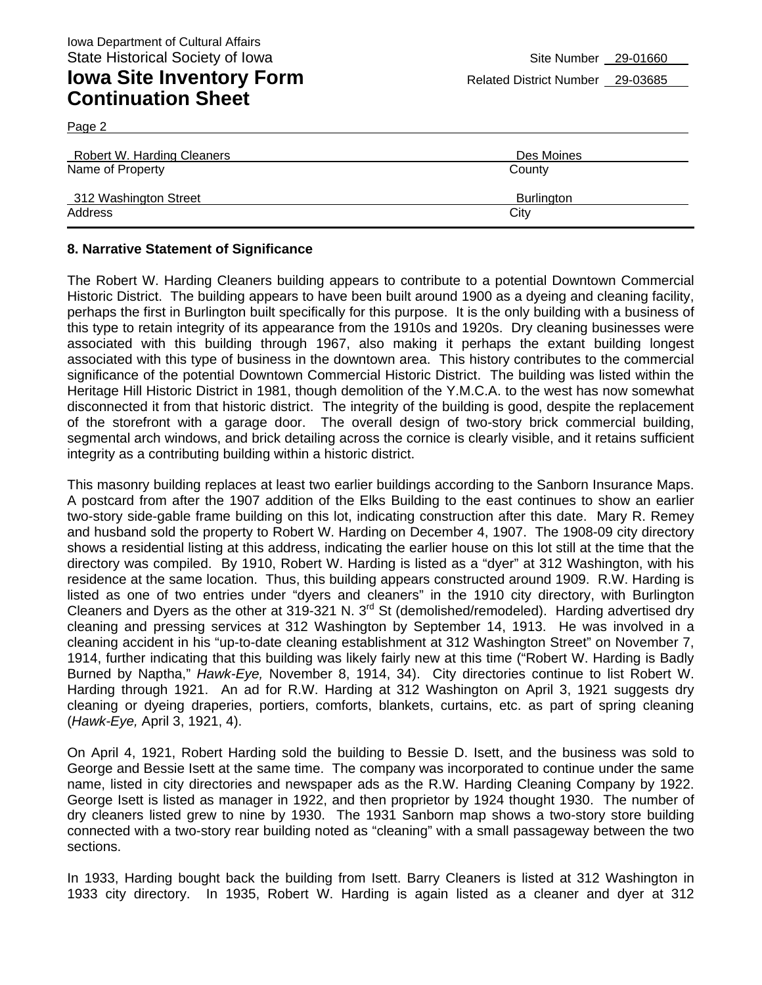Page 2

| Robert W. Harding Cleaners | Des Moines        |
|----------------------------|-------------------|
| Name of Property           | County            |
| 312 Washington Street      | <b>Burlington</b> |
| Address                    | City              |

#### **8. Narrative Statement of Significance**

The Robert W. Harding Cleaners building appears to contribute to a potential Downtown Commercial Historic District. The building appears to have been built around 1900 as a dyeing and cleaning facility, perhaps the first in Burlington built specifically for this purpose. It is the only building with a business of this type to retain integrity of its appearance from the 1910s and 1920s. Dry cleaning businesses were associated with this building through 1967, also making it perhaps the extant building longest associated with this type of business in the downtown area. This history contributes to the commercial significance of the potential Downtown Commercial Historic District. The building was listed within the Heritage Hill Historic District in 1981, though demolition of the Y.M.C.A. to the west has now somewhat disconnected it from that historic district. The integrity of the building is good, despite the replacement of the storefront with a garage door. The overall design of two-story brick commercial building, segmental arch windows, and brick detailing across the cornice is clearly visible, and it retains sufficient integrity as a contributing building within a historic district.

This masonry building replaces at least two earlier buildings according to the Sanborn Insurance Maps. A postcard from after the 1907 addition of the Elks Building to the east continues to show an earlier two-story side-gable frame building on this lot, indicating construction after this date. Mary R. Remey and husband sold the property to Robert W. Harding on December 4, 1907. The 1908-09 city directory shows a residential listing at this address, indicating the earlier house on this lot still at the time that the directory was compiled. By 1910, Robert W. Harding is listed as a "dyer" at 312 Washington, with his residence at the same location. Thus, this building appears constructed around 1909. R.W. Harding is listed as one of two entries under "dyers and cleaners" in the 1910 city directory, with Burlington Cleaners and Dyers as the other at 319-321 N. 3<sup>rd</sup> St (demolished/remodeled). Harding advertised dry cleaning and pressing services at 312 Washington by September 14, 1913. He was involved in a cleaning accident in his "up-to-date cleaning establishment at 312 Washington Street" on November 7, 1914, further indicating that this building was likely fairly new at this time ("Robert W. Harding is Badly Burned by Naptha," *Hawk-Eye,* November 8, 1914, 34). City directories continue to list Robert W. Harding through 1921. An ad for R.W. Harding at 312 Washington on April 3, 1921 suggests dry cleaning or dyeing draperies, portiers, comforts, blankets, curtains, etc. as part of spring cleaning (*Hawk-Eye,* April 3, 1921, 4).

On April 4, 1921, Robert Harding sold the building to Bessie D. Isett, and the business was sold to George and Bessie Isett at the same time. The company was incorporated to continue under the same name, listed in city directories and newspaper ads as the R.W. Harding Cleaning Company by 1922. George Isett is listed as manager in 1922, and then proprietor by 1924 thought 1930. The number of dry cleaners listed grew to nine by 1930. The 1931 Sanborn map shows a two-story store building connected with a two-story rear building noted as "cleaning" with a small passageway between the two sections.

In 1933, Harding bought back the building from Isett. Barry Cleaners is listed at 312 Washington in 1933 city directory. In 1935, Robert W. Harding is again listed as a cleaner and dyer at 312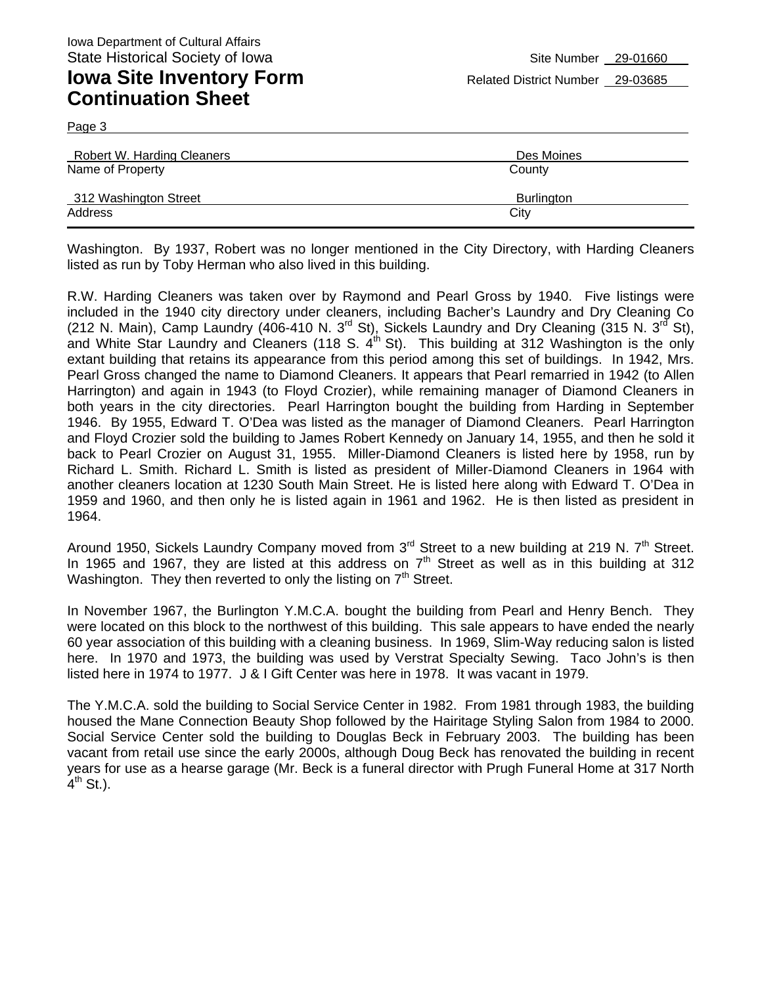Page 3

| Robert W. Harding Cleaners                | Des Moines                  |
|-------------------------------------------|-----------------------------|
| Name of Property<br>312 Washington Street | County<br><b>Burlington</b> |
| Address                                   | City                        |

Washington. By 1937, Robert was no longer mentioned in the City Directory, with Harding Cleaners listed as run by Toby Herman who also lived in this building.

R.W. Harding Cleaners was taken over by Raymond and Pearl Gross by 1940. Five listings were included in the 1940 city directory under cleaners, including Bacher's Laundry and Dry Cleaning Co (212 N. Main), Camp Laundry (406-410 N. 3<sup>rd</sup> St), Sickels Laundry and Dry Cleaning (315 N. 3<sup>rd</sup> St), and White Star Laundry and Cleaners (118 S.  $4^{th}$  St). This building at 312 Washington is the only extant building that retains its appearance from this period among this set of buildings. In 1942, Mrs. Pearl Gross changed the name to Diamond Cleaners. It appears that Pearl remarried in 1942 (to Allen Harrington) and again in 1943 (to Floyd Crozier), while remaining manager of Diamond Cleaners in both years in the city directories. Pearl Harrington bought the building from Harding in September 1946. By 1955, Edward T. O'Dea was listed as the manager of Diamond Cleaners. Pearl Harrington and Floyd Crozier sold the building to James Robert Kennedy on January 14, 1955, and then he sold it back to Pearl Crozier on August 31, 1955. Miller-Diamond Cleaners is listed here by 1958, run by Richard L. Smith. Richard L. Smith is listed as president of Miller-Diamond Cleaners in 1964 with another cleaners location at 1230 South Main Street. He is listed here along with Edward T. O'Dea in 1959 and 1960, and then only he is listed again in 1961 and 1962. He is then listed as president in 1964.

Around 1950, Sickels Laundry Company moved from  $3^{rd}$  Street to a new building at 219 N.  $7^{th}$  Street. In 1965 and 1967, they are listed at this address on  $7<sup>th</sup>$  Street as well as in this building at 312 Washington. They then reverted to only the listing on  $7<sup>th</sup>$  Street.

In November 1967, the Burlington Y.M.C.A. bought the building from Pearl and Henry Bench. They were located on this block to the northwest of this building. This sale appears to have ended the nearly 60 year association of this building with a cleaning business. In 1969, Slim-Way reducing salon is listed here. In 1970 and 1973, the building was used by Verstrat Specialty Sewing. Taco John's is then listed here in 1974 to 1977. J & I Gift Center was here in 1978. It was vacant in 1979.

The Y.M.C.A. sold the building to Social Service Center in 1982. From 1981 through 1983, the building housed the Mane Connection Beauty Shop followed by the Hairitage Styling Salon from 1984 to 2000. Social Service Center sold the building to Douglas Beck in February 2003. The building has been vacant from retail use since the early 2000s, although Doug Beck has renovated the building in recent years for use as a hearse garage (Mr. Beck is a funeral director with Prugh Funeral Home at 317 North  $4^{th}$  St.).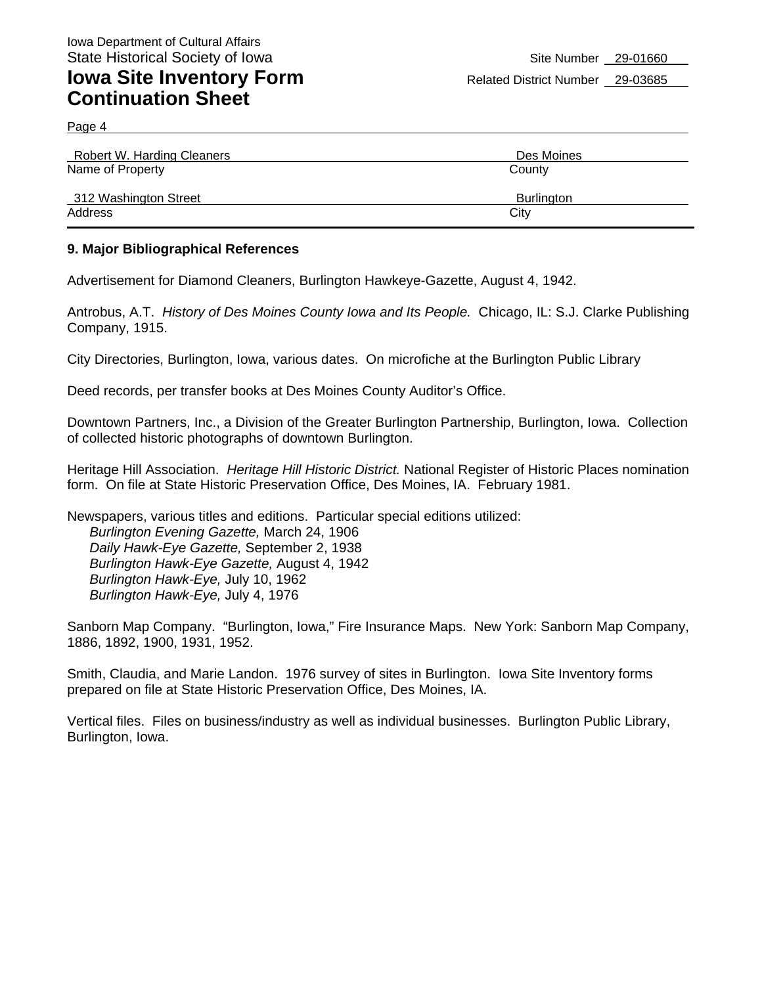Page 4

| Robert W. Harding Cleaners | Des Moines        |
|----------------------------|-------------------|
| Name of Property           | County            |
| 312 Washington Street      | <b>Burlington</b> |
| Address                    | City              |

#### **9. Major Bibliographical References**

Advertisement for Diamond Cleaners, Burlington Hawkeye-Gazette, August 4, 1942.

Antrobus, A.T. *History of Des Moines County Iowa and Its People.* Chicago, IL: S.J. Clarke Publishing Company, 1915.

City Directories, Burlington, Iowa, various dates. On microfiche at the Burlington Public Library

Deed records, per transfer books at Des Moines County Auditor's Office.

Downtown Partners, Inc., a Division of the Greater Burlington Partnership, Burlington, Iowa. Collection of collected historic photographs of downtown Burlington.

Heritage Hill Association. *Heritage Hill Historic District.* National Register of Historic Places nomination form. On file at State Historic Preservation Office, Des Moines, IA. February 1981.

Newspapers, various titles and editions. Particular special editions utilized: *Burlington Evening Gazette,* March 24, 1906 *Daily Hawk-Eye Gazette,* September 2, 1938 *Burlington Hawk-Eye Gazette,* August 4, 1942 *Burlington Hawk-Eye,* July 10, 1962 *Burlington Hawk-Eye,* July 4, 1976

Sanborn Map Company. "Burlington, Iowa," Fire Insurance Maps. New York: Sanborn Map Company, 1886, 1892, 1900, 1931, 1952.

Smith, Claudia, and Marie Landon. 1976 survey of sites in Burlington. Iowa Site Inventory forms prepared on file at State Historic Preservation Office, Des Moines, IA.

Vertical files. Files on business/industry as well as individual businesses. Burlington Public Library, Burlington, Iowa.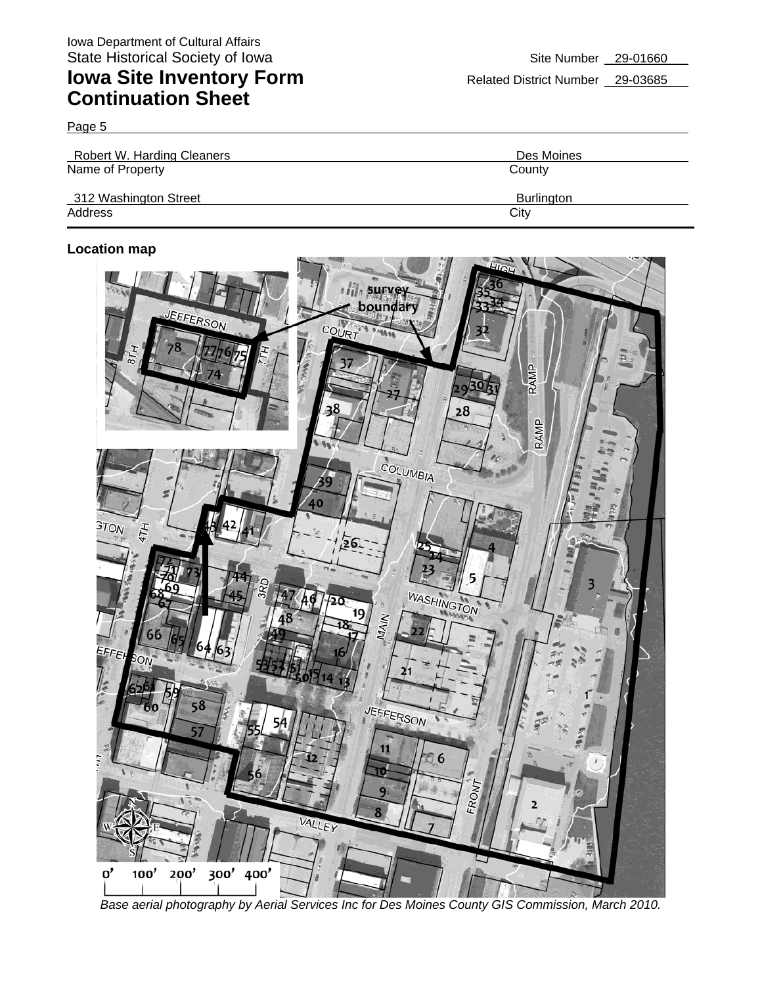Page 5

| Robert W. Harding Cleaners | Des Moines        |
|----------------------------|-------------------|
| Name of Property           | County            |
| 312 Washington Street      | <b>Burlington</b> |
| Address                    | City              |

#### **Location map**



*Base aerial photography by Aerial Services Inc for Des Moines County GIS Commission, March 2010.*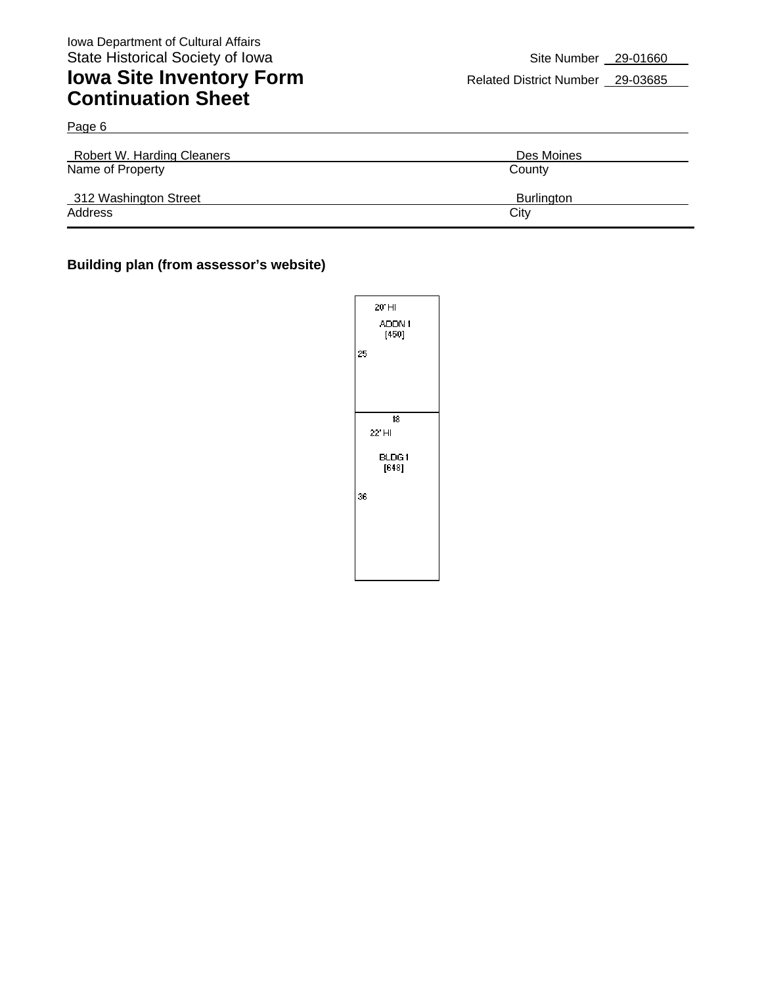Page 6

## **Iowa Site Inventory Form** Related District Number 29-03685 **Continuation Sheet**

| Robert W. Harding Cleaners | Des Moines        |
|----------------------------|-------------------|
| Name of Property           | County            |
| 312 Washington Street      | <b>Burlington</b> |
| Address                    | City              |

#### **Building plan (from assessor's website)**

|    | 20'HI<br>ADDN1<br>[450] |
|----|-------------------------|
| 25 |                         |
|    |                         |
|    | 18                      |
|    | 22' HI                  |
|    |                         |
|    | BLDG1                   |
|    | $[648]$                 |
| 36 |                         |
|    |                         |
|    |                         |
|    |                         |
|    |                         |
|    |                         |
|    |                         |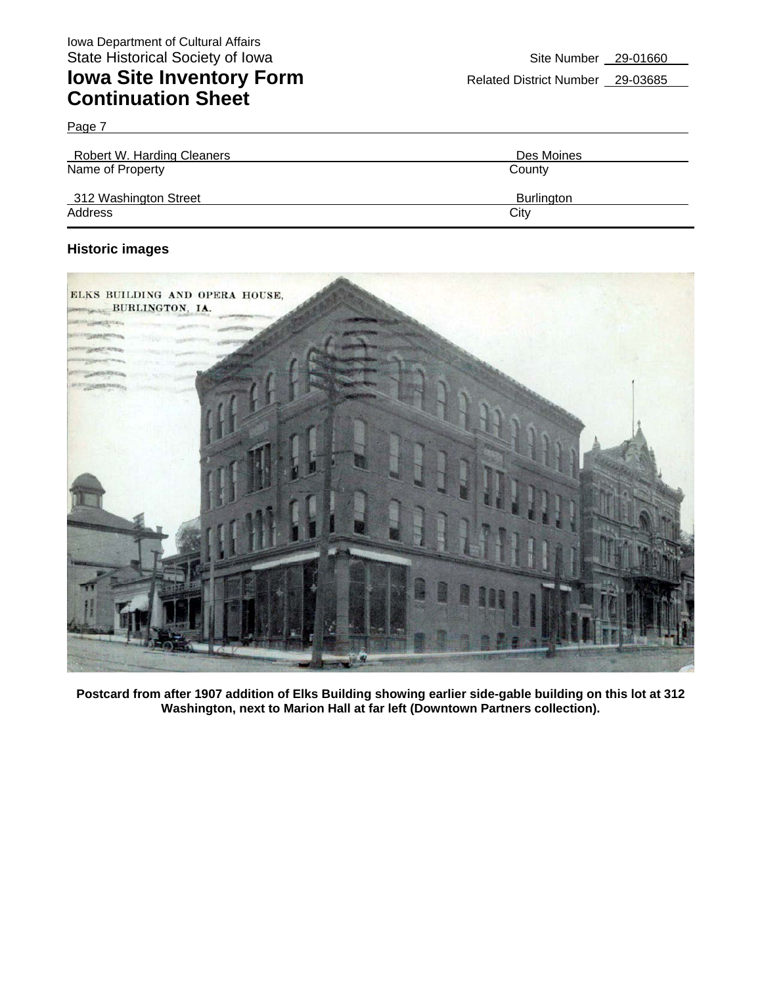Page 7

| <b>Robert W. Harding Cleaners</b> | Des Moines        |
|-----------------------------------|-------------------|
| Name of Property                  | County            |
| 312 Washington Street             | <b>Burlington</b> |
| Address                           | City              |

#### **Historic images**



**Postcard from after 1907 addition of Elks Building showing earlier side-gable building on this lot at 312 Washington, next to Marion Hall at far left (Downtown Partners collection).**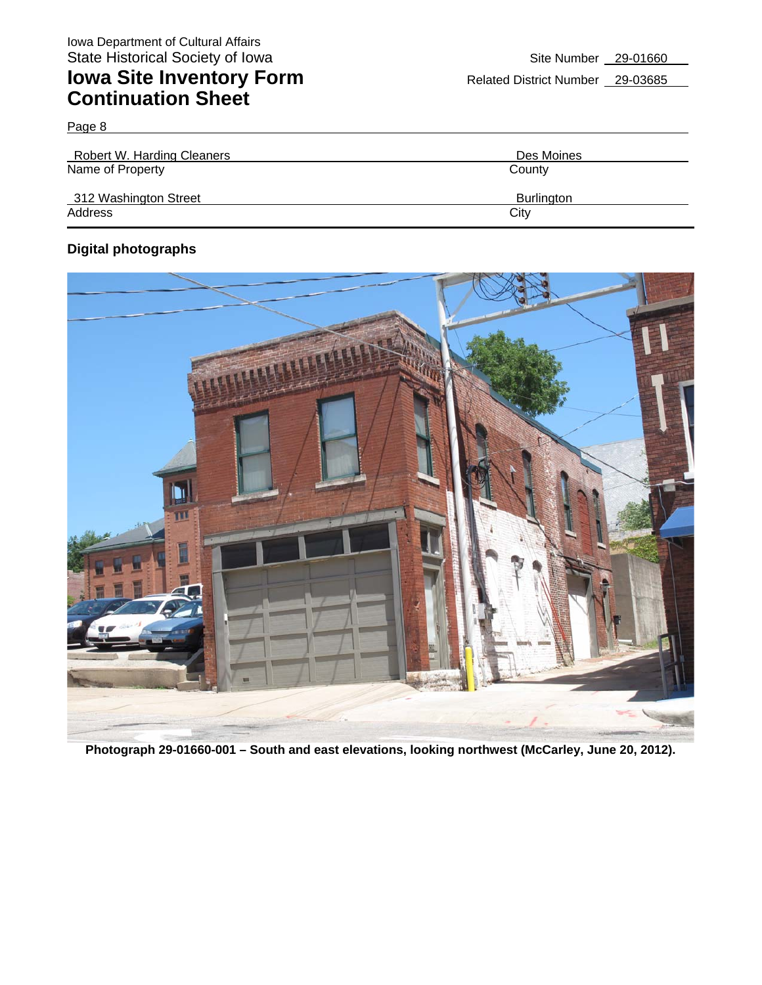Page 8

| Robert W. Harding Cleaners | Des Moines        |
|----------------------------|-------------------|
| Name of Property           | County            |
| 312 Washington Street      | <b>Burlington</b> |
| Address                    | City              |

### **Digital photographs**



**Photograph 29-01660-001 – South and east elevations, looking northwest (McCarley, June 20, 2012).**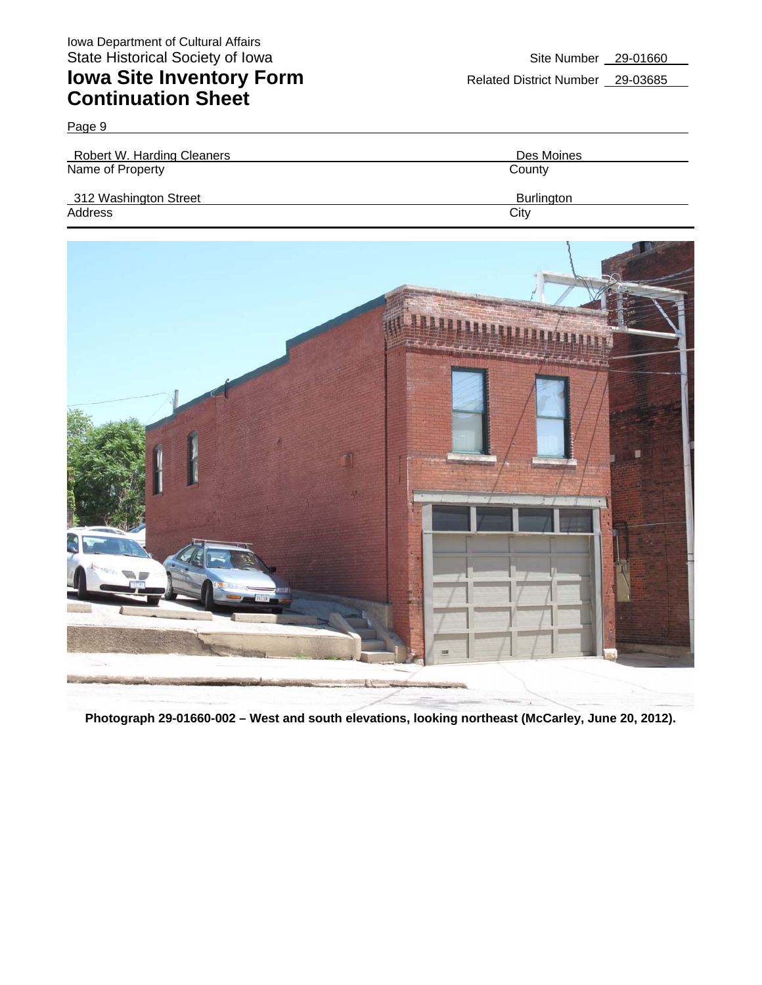Page 9

| Robert W. Harding Cleaners | Des Moines        |
|----------------------------|-------------------|
| Name of Property           | County            |
| 312 Washington Street      | <b>Burlington</b> |
| Address                    | City              |



**Photograph 29-01660-002 – West and south elevations, looking northeast (McCarley, June 20, 2012).**